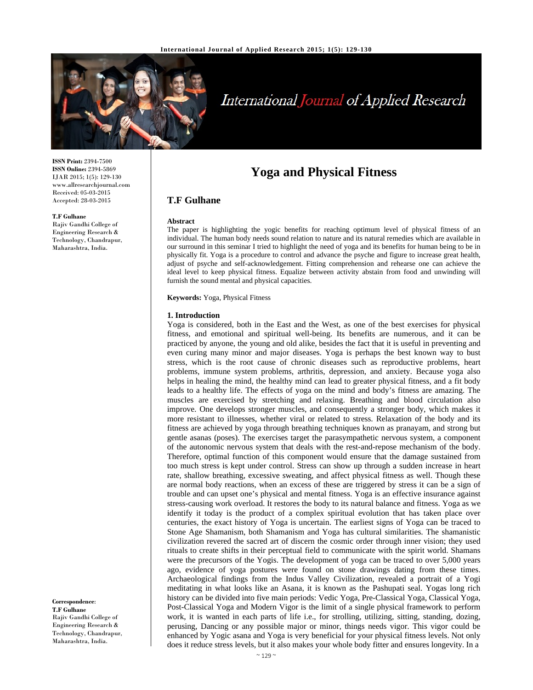

# International Journal of Applied Research

**ISSN Print:** 2394-7500 **ISSN Online:** 2394-5869 IJAR 2015; 1(5): 129-130 www.allresearchjournal.com Received: 05-03-2015 Accepted: 28-03-2015

#### **T.F Gulhane**

Rajiv Gandhi College of Engineering Research & Technology, Chandrapur, Maharashtra, India.

# **Yoga and Physical Fitness**

# **T.F Gulhane**

#### **Abstract**

The paper is highlighting the yogic benefits for reaching optimum level of physical fitness of an individual. The human body needs sound relation to nature and its natural remedies which are available in our surround in this seminar I tried to highlight the need of yoga and its benefits for human being to be in physically fit. Yoga is a procedure to control and advance the psyche and figure to increase great health, adjust of psyche and self-acknowledgement. Fitting comprehension and rehearse one can achieve the ideal level to keep physical fitness. Equalize between activity abstain from food and unwinding will furnish the sound mental and physical capacities.

**Keywords:** Yoga, Physical Fitness

#### **1. Introduction**

Yoga is considered, both in the East and the West, as one of the best exercises for physical fitness, and emotional and spiritual well-being. Its benefits are numerous, and it can be practiced by anyone, the young and old alike, besides the fact that it is useful in preventing and even curing many minor and major diseases. Yoga is perhaps the best known way to bust stress, which is the root cause of chronic diseases such as reproductive problems, heart problems, immune system problems, arthritis, depression, and anxiety. Because yoga also helps in healing the mind, the healthy mind can lead to greater physical fitness, and a fit body leads to a healthy life. The effects of yoga on the mind and body's fitness are amazing. The muscles are exercised by stretching and relaxing. Breathing and blood circulation also improve. One develops stronger muscles, and consequently a stronger body, which makes it more resistant to illnesses, whether viral or related to stress. Relaxation of the body and its fitness are achieved by yoga through breathing techniques known as pranayam, and strong but gentle asanas (poses). The exercises target the parasympathetic nervous system, a component of the autonomic nervous system that deals with the rest-and-repose mechanism of the body. Therefore, optimal function of this component would ensure that the damage sustained from too much stress is kept under control. Stress can show up through a sudden increase in heart rate, shallow breathing, excessive sweating, and affect physical fitness as well. Though these are normal body reactions, when an excess of these are triggered by stress it can be a sign of trouble and can upset one's physical and mental fitness. Yoga is an effective insurance against stress-causing work overload. It restores the body to its natural balance and fitness. Yoga as we identify it today is the product of a complex spiritual evolution that has taken place over centuries, the exact history of Yoga is uncertain. The earliest signs of Yoga can be traced to Stone Age Shamanism, both Shamanism and Yoga has cultural similarities. The shamanistic civilization revered the sacred art of discern the cosmic order through inner vision; they used rituals to create shifts in their perceptual field to communicate with the spirit world. Shamans were the precursors of the Yogis. The development of yoga can be traced to over 5,000 years ago, evidence of yoga postures were found on stone drawings dating from these times. Archaeological findings from the Indus Valley Civilization, revealed a portrait of a Yogi meditating in what looks like an Asana, it is known as the Pashupati seal. Yogas long rich history can be divided into five main periods: Vedic Yoga, Pre-Classical Yoga, Classical Yoga, Post-Classical Yoga and Modern Vigor is the limit of a single physical framework to perform work, it is wanted in each parts of life i.e., for strolling, utilizing, sitting, standing, dozing, perusing, Dancing or any possible major or minor, things needs vigor. This vigor could be enhanced by Yogic asana and Yoga is very beneficial for your physical fitness levels. Not only does it reduce stress levels, but it also makes your whole body fitter and ensures longevity. In a

**Correspondence**: **T.F Gulhane** 

Rajiv Gandhi College of Engineering Research & Technology, Chandrapur, Maharashtra, India.